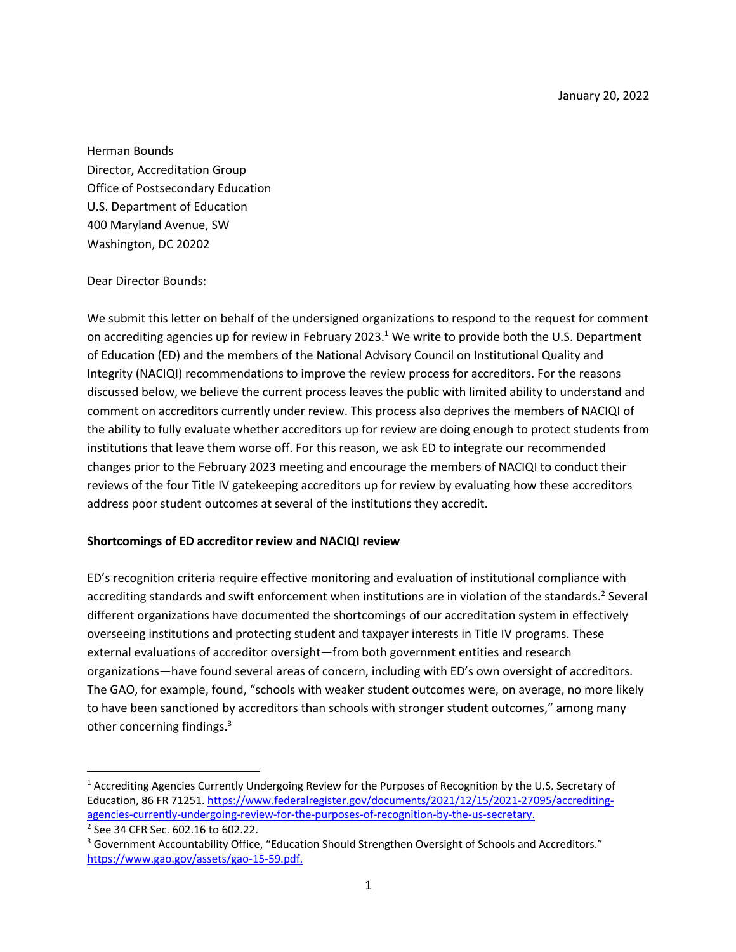January 20, 2022

Herman Bounds Director, Accreditation Group Office of Postsecondary Education U.S. Department of Education 400 Maryland Avenue, SW Washington, DC 20202

### Dear Director Bounds:

We submit this letter on behalf of the undersigned organizations to respond to the request for comment on accrediting agencies up for review in February 2023.<sup>1</sup> We write to provide both the U.S. Department of Education (ED) and the members of the National Advisory Council on Institutional Quality and Integrity (NACIQI) recommendations to improve the review process for accreditors. For the reasons discussed below, we believe the current process leaves the public with limited ability to understand and comment on accreditors currently under review. This process also deprives the members of NACIQI of the ability to fully evaluate whether accreditors up for review are doing enough to protect students from institutions that leave them worse off. For this reason, we ask ED to integrate our recommended changes prior to the February 2023 meeting and encourage the members of NACIQI to conduct their reviews of the four Title IV gatekeeping accreditors up for review by evaluating how these accreditors address poor student outcomes at several of the institutions they accredit.

### **Shortcomings of ED accreditor review and NACIQI review**

ED's recognition criteria require effective monitoring and evaluation of institutional compliance with accrediting standards and swift enforcement when institutions are in violation of the standards.<sup>2</sup> Several different organizations have documented the shortcomings of our accreditation system in effectively overseeing institutions and protecting student and taxpayer interests in Title IV programs. These external evaluations of accreditor oversight—from both government entities and research organizations—have found several areas of concern, including with ED's own oversight of accreditors. The GAO, for example, found, "schools with weaker student outcomes were, on average, no more likely to have been sanctioned by accreditors than schools with stronger student outcomes," among many other concerning findings.<sup>3</sup>

<sup>&</sup>lt;sup>1</sup> Accrediting Agencies Currently Undergoing Review for the Purposes of Recognition by the U.S. Secretary of Education, 86 FR 71251. https://www.federalregister.gov/documents/2021/12/15/2021-27095/accreditingagencies-currently-undergoing-review-for-the-purposes-of-recognition-by-the-us-secretary.<br><sup>2</sup> See 34 CFR Sec. 602.16 to 602.22.

<sup>&</sup>lt;sup>3</sup> Government Accountability Office, "Education Should Strengthen Oversight of Schools and Accreditors." https://www.gao.gov/assets/gao-15-59.pdf.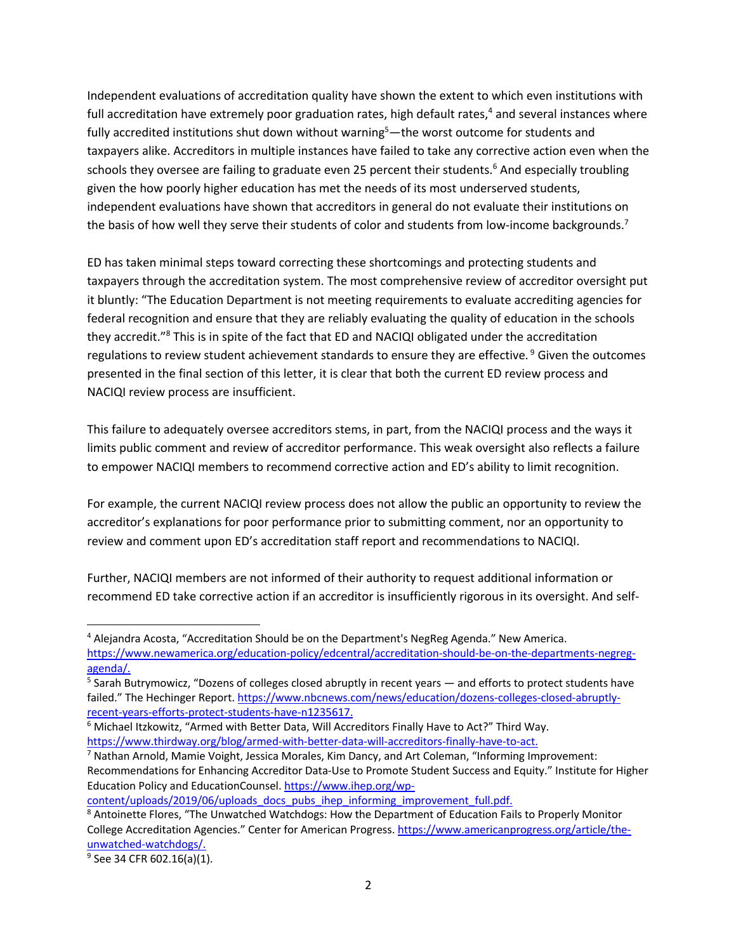Independent evaluations of accreditation quality have shown the extent to which even institutions with full accreditation have extremely poor graduation rates, high default rates, $4$  and several instances where fully accredited institutions shut down without warning<sup>5</sup>—the worst outcome for students and taxpayers alike. Accreditors in multiple instances have failed to take any corrective action even when the schools they oversee are failing to graduate even 25 percent their students.<sup>6</sup> And especially troubling given the how poorly higher education has met the needs of its most underserved students, independent evaluations have shown that accreditors in general do not evaluate their institutions on the basis of how well they serve their students of color and students from low-income backgrounds.<sup>7</sup>

ED has taken minimal steps toward correcting these shortcomings and protecting students and taxpayers through the accreditation system. The most comprehensive review of accreditor oversight put it bluntly: "The Education Department is not meeting requirements to evaluate accrediting agencies for federal recognition and ensure that they are reliably evaluating the quality of education in the schools they accredit."8 This is in spite of the fact that ED and NACIQI obligated under the accreditation regulations to review student achievement standards to ensure they are effective.<sup>9</sup> Given the outcomes presented in the final section of this letter, it is clear that both the current ED review process and NACIQI review process are insufficient.

This failure to adequately oversee accreditors stems, in part, from the NACIQI process and the ways it limits public comment and review of accreditor performance. This weak oversight also reflects a failure to empower NACIQI members to recommend corrective action and ED's ability to limit recognition.

For example, the current NACIQI review process does not allow the public an opportunity to review the accreditor's explanations for poor performance prior to submitting comment, nor an opportunity to review and comment upon ED's accreditation staff report and recommendations to NACIQI.

Further, NACIQI members are not informed of their authority to request additional information or recommend ED take corrective action if an accreditor is insufficiently rigorous in its oversight. And self-

content/uploads/2019/06/uploads\_docs\_pubs\_ihep\_informing\_improvement\_full.pdf.

<sup>&</sup>lt;sup>4</sup> Alejandra Acosta, "Accreditation Should be on the Department's NegReg Agenda." New America. https://www.newamerica.org/education-policy/edcentral/accreditation-should-be-on-the-departments-negregagenda/.

 $5$  Sarah Butrymowicz, "Dozens of colleges closed abruptly in recent years  $-$  and efforts to protect students have failed." The Hechinger Report. https://www.nbcnews.com/news/education/dozens-colleges-closed-abruptlyrecent-years-efforts-protect-students-have-n1235617.

<sup>6</sup> Michael Itzkowitz, "Armed with Better Data, Will Accreditors Finally Have to Act?" Third Way. https://www.thirdway.org/blog/armed-with-better-data-will-accreditors-finally-have-to-act.

<sup>&</sup>lt;sup>7</sup> Nathan Arnold, Mamie Voight, Jessica Morales, Kim Dancy, and Art Coleman, "Informing Improvement: Recommendations for Enhancing Accreditor Data-Use to Promote Student Success and Equity." Institute for Higher Education Policy and EducationCounsel. https://www.ihep.org/wp-

<sup>8</sup> Antoinette Flores, "The Unwatched Watchdogs: How the Department of Education Fails to Properly Monitor College Accreditation Agencies." Center for American Progress. https://www.americanprogress.org/article/theunwatched-watchdogs/.

<sup>&</sup>lt;sup>9</sup> See 34 CFR 602.16(a)(1).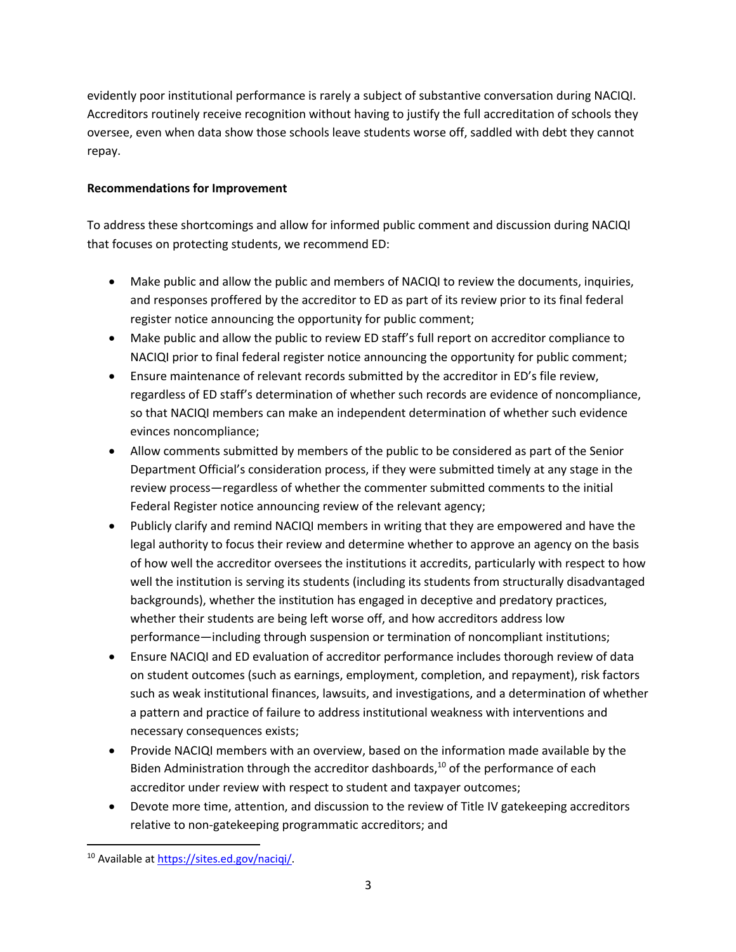evidently poor institutional performance is rarely a subject of substantive conversation during NACIQI. Accreditors routinely receive recognition without having to justify the full accreditation of schools they oversee, even when data show those schools leave students worse off, saddled with debt they cannot repay.

# **Recommendations for Improvement**

To address these shortcomings and allow for informed public comment and discussion during NACIQI that focuses on protecting students, we recommend ED:

- Make public and allow the public and members of NACIQI to review the documents, inquiries, and responses proffered by the accreditor to ED as part of its review prior to its final federal register notice announcing the opportunity for public comment;
- Make public and allow the public to review ED staff's full report on accreditor compliance to NACIQI prior to final federal register notice announcing the opportunity for public comment;
- Ensure maintenance of relevant records submitted by the accreditor in ED's file review, regardless of ED staff's determination of whether such records are evidence of noncompliance, so that NACIQI members can make an independent determination of whether such evidence evinces noncompliance;
- Allow comments submitted by members of the public to be considered as part of the Senior Department Official's consideration process, if they were submitted timely at any stage in the review process—regardless of whether the commenter submitted comments to the initial Federal Register notice announcing review of the relevant agency;
- Publicly clarify and remind NACIQI members in writing that they are empowered and have the legal authority to focus their review and determine whether to approve an agency on the basis of how well the accreditor oversees the institutions it accredits, particularly with respect to how well the institution is serving its students (including its students from structurally disadvantaged backgrounds), whether the institution has engaged in deceptive and predatory practices, whether their students are being left worse off, and how accreditors address low performance—including through suspension or termination of noncompliant institutions;
- Ensure NACIQI and ED evaluation of accreditor performance includes thorough review of data on student outcomes (such as earnings, employment, completion, and repayment), risk factors such as weak institutional finances, lawsuits, and investigations, and a determination of whether a pattern and practice of failure to address institutional weakness with interventions and necessary consequences exists;
- Provide NACIQI members with an overview, based on the information made available by the Biden Administration through the accreditor dashboards, $^{10}$  of the performance of each accreditor under review with respect to student and taxpayer outcomes;
- Devote more time, attention, and discussion to the review of Title IV gatekeeping accreditors relative to non-gatekeeping programmatic accreditors; and

<sup>10</sup> Available at https://sites.ed.gov/naciqi/.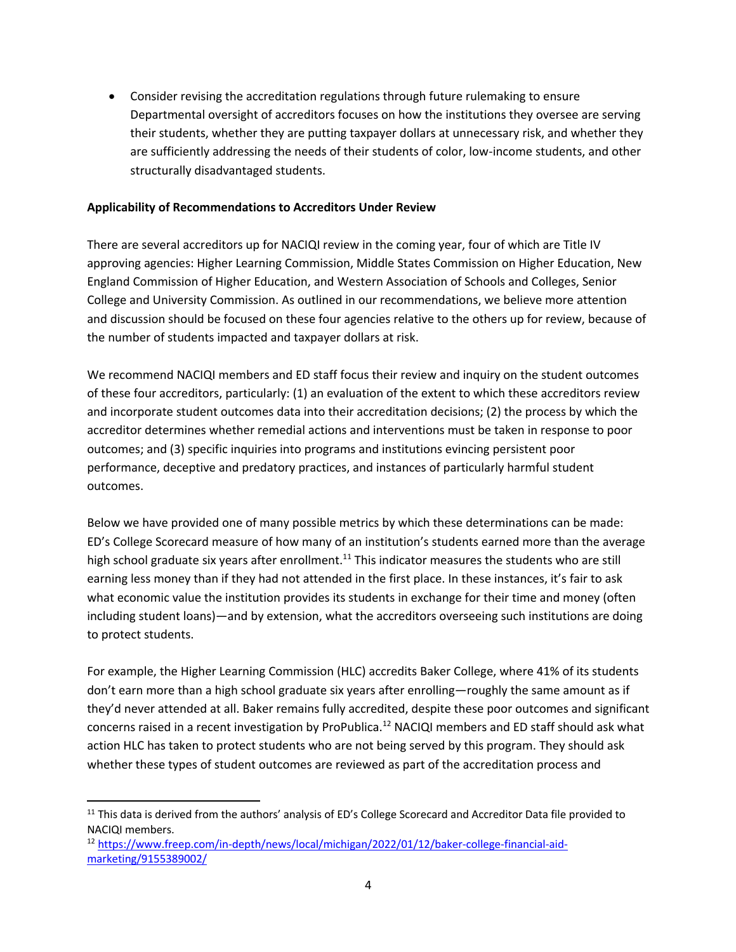• Consider revising the accreditation regulations through future rulemaking to ensure Departmental oversight of accreditors focuses on how the institutions they oversee are serving their students, whether they are putting taxpayer dollars at unnecessary risk, and whether they are sufficiently addressing the needs of their students of color, low-income students, and other structurally disadvantaged students.

#### **Applicability of Recommendations to Accreditors Under Review**

There are several accreditors up for NACIQI review in the coming year, four of which are Title IV approving agencies: Higher Learning Commission, Middle States Commission on Higher Education, New England Commission of Higher Education, and Western Association of Schools and Colleges, Senior College and University Commission. As outlined in our recommendations, we believe more attention and discussion should be focused on these four agencies relative to the others up for review, because of the number of students impacted and taxpayer dollars at risk.

We recommend NACIQI members and ED staff focus their review and inquiry on the student outcomes of these four accreditors, particularly: (1) an evaluation of the extent to which these accreditors review and incorporate student outcomes data into their accreditation decisions; (2) the process by which the accreditor determines whether remedial actions and interventions must be taken in response to poor outcomes; and (3) specific inquiries into programs and institutions evincing persistent poor performance, deceptive and predatory practices, and instances of particularly harmful student outcomes.

Below we have provided one of many possible metrics by which these determinations can be made: ED's College Scorecard measure of how many of an institution's students earned more than the average high school graduate six years after enrollment.<sup>11</sup> This indicator measures the students who are still earning less money than if they had not attended in the first place. In these instances, it's fair to ask what economic value the institution provides its students in exchange for their time and money (often including student loans)—and by extension, what the accreditors overseeing such institutions are doing to protect students.

For example, the Higher Learning Commission (HLC) accredits Baker College, where 41% of its students don't earn more than a high school graduate six years after enrolling—roughly the same amount as if they'd never attended at all. Baker remains fully accredited, despite these poor outcomes and significant concerns raised in a recent investigation by ProPublica.<sup>12</sup> NACIQI members and ED staff should ask what action HLC has taken to protect students who are not being served by this program. They should ask whether these types of student outcomes are reviewed as part of the accreditation process and

<sup>12</sup> https://www.freep.com/in-depth/news/local/michigan/2022/01/12/baker-college-financial-aidmarketing/9155389002/

 $11$  This data is derived from the authors' analysis of ED's College Scorecard and Accreditor Data file provided to NACIQI members.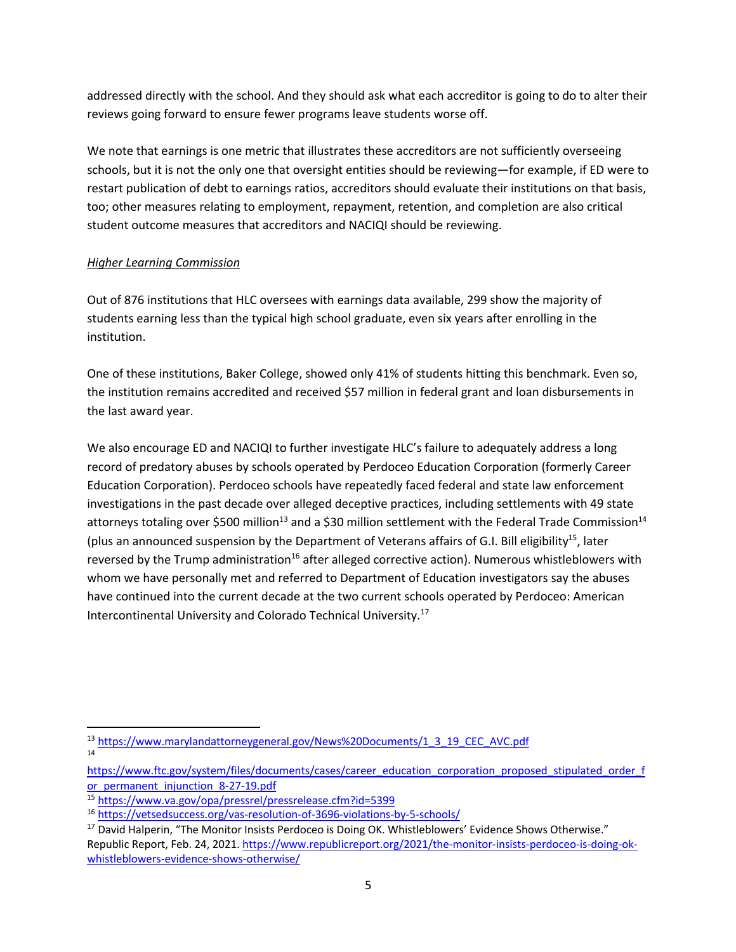addressed directly with the school. And they should ask what each accreditor is going to do to alter their reviews going forward to ensure fewer programs leave students worse off.

We note that earnings is one metric that illustrates these accreditors are not sufficiently overseeing schools, but it is not the only one that oversight entities should be reviewing—for example, if ED were to restart publication of debt to earnings ratios, accreditors should evaluate their institutions on that basis, too; other measures relating to employment, repayment, retention, and completion are also critical student outcome measures that accreditors and NACIQI should be reviewing.

## *Higher Learning Commission*

Out of 876 institutions that HLC oversees with earnings data available, 299 show the majority of students earning less than the typical high school graduate, even six years after enrolling in the institution.

One of these institutions, Baker College, showed only 41% of students hitting this benchmark. Even so, the institution remains accredited and received \$57 million in federal grant and loan disbursements in the last award year.

We also encourage ED and NACIQI to further investigate HLC's failure to adequately address a long record of predatory abuses by schools operated by Perdoceo Education Corporation (formerly Career Education Corporation). Perdoceo schools have repeatedly faced federal and state law enforcement investigations in the past decade over alleged deceptive practices, including settlements with 49 state attorneys totaling over \$500 million<sup>13</sup> and a \$30 million settlement with the Federal Trade Commission<sup>14</sup> (plus an announced suspension by the Department of Veterans affairs of G.I. Bill eligibility<sup>15</sup>, later reversed by the Trump administration<sup>16</sup> after alleged corrective action). Numerous whistleblowers with whom we have personally met and referred to Department of Education investigators say the abuses have continued into the current decade at the two current schools operated by Perdoceo: American Intercontinental University and Colorado Technical University.17

<sup>&</sup>lt;sup>13</sup> https://www.marylandattorneygeneral.gov/News%20Documents/1\_3\_19\_CEC\_AVC.pdf 14

https://www.ftc.gov/system/files/documents/cases/career\_education\_corporation\_proposed\_stipulated\_order\_f or permanent injunction 8-27-19.pdf

<sup>15</sup> https://www.va.gov/opa/pressrel/pressrelease.cfm?id=5399

<sup>16</sup> https://vetsedsuccess.org/vas-resolution-of-3696-violations-by-5-schools/

<sup>&</sup>lt;sup>17</sup> David Halperin, "The Monitor Insists Perdoceo is Doing OK. Whistleblowers' Evidence Shows Otherwise." Republic Report, Feb. 24, 2021. https://www.republicreport.org/2021/the-monitor-insists-perdoceo-is-doing-okwhistleblowers-evidence-shows-otherwise/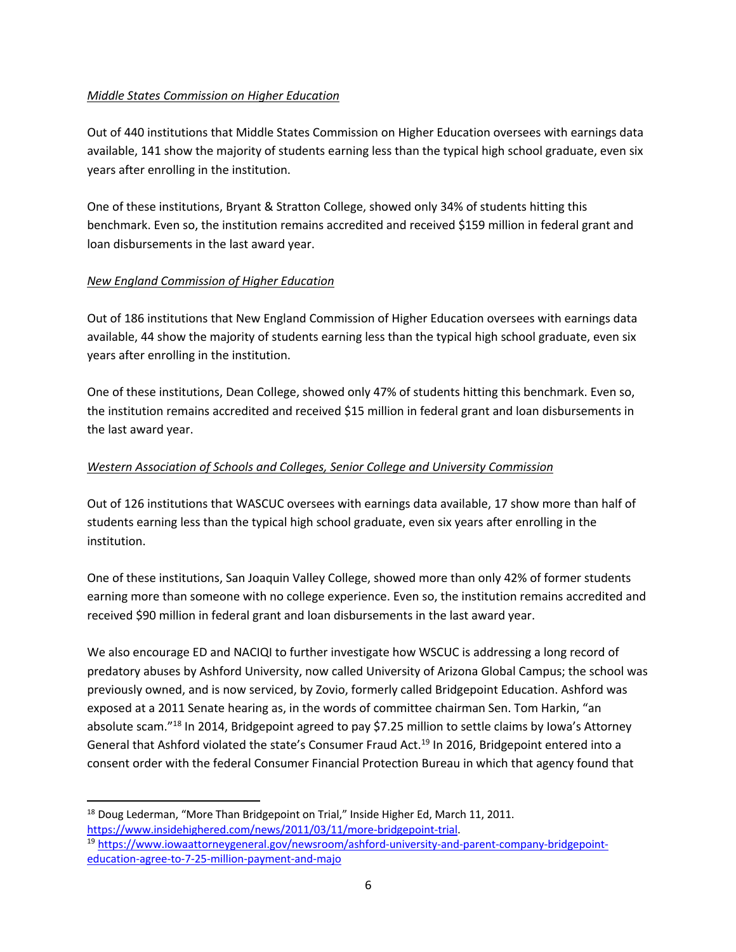## *Middle States Commission on Higher Education*

Out of 440 institutions that Middle States Commission on Higher Education oversees with earnings data available, 141 show the majority of students earning less than the typical high school graduate, even six years after enrolling in the institution.

One of these institutions, Bryant & Stratton College, showed only 34% of students hitting this benchmark. Even so, the institution remains accredited and received \$159 million in federal grant and loan disbursements in the last award year.

### *New England Commission of Higher Education*

Out of 186 institutions that New England Commission of Higher Education oversees with earnings data available, 44 show the majority of students earning less than the typical high school graduate, even six years after enrolling in the institution.

One of these institutions, Dean College, showed only 47% of students hitting this benchmark. Even so, the institution remains accredited and received \$15 million in federal grant and loan disbursements in the last award year.

### *Western Association of Schools and Colleges, Senior College and University Commission*

Out of 126 institutions that WASCUC oversees with earnings data available, 17 show more than half of students earning less than the typical high school graduate, even six years after enrolling in the institution.

One of these institutions, San Joaquin Valley College, showed more than only 42% of former students earning more than someone with no college experience. Even so, the institution remains accredited and received \$90 million in federal grant and loan disbursements in the last award year.

We also encourage ED and NACIQI to further investigate how WSCUC is addressing a long record of predatory abuses by Ashford University, now called University of Arizona Global Campus; the school was previously owned, and is now serviced, by Zovio, formerly called Bridgepoint Education. Ashford was exposed at a 2011 Senate hearing as, in the words of committee chairman Sen. Tom Harkin, "an absolute scam."<sup>18</sup> In 2014, Bridgepoint agreed to pay \$7.25 million to settle claims by Iowa's Attorney General that Ashford violated the state's Consumer Fraud Act.<sup>19</sup> In 2016, Bridgepoint entered into a consent order with the federal Consumer Financial Protection Bureau in which that agency found that

<sup>&</sup>lt;sup>18</sup> Doug Lederman, "More Than Bridgepoint on Trial," Inside Higher Ed, March 11, 2011.

https://www.insidehighered.com/news/2011/03/11/more-bridgepoint-trial.<br><sup>19</sup> https://www.iowaattorneygeneral.gov/newsroom/ashford-university-and-parent-company-bridgepointeducation-agree-to-7-25-million-payment-and-majo